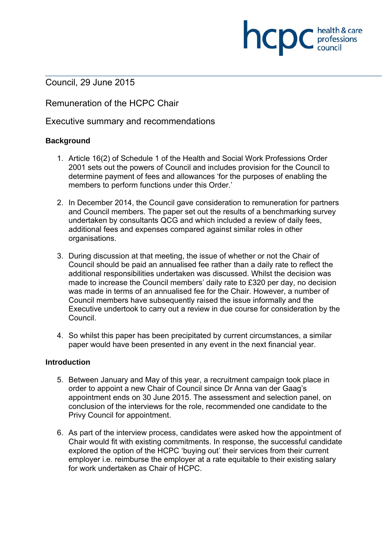Council, 29 June 2015

Remuneration of the HCPC Chair

Executive summary and recommendations

## **Background**

1. Article 16(2) of Schedule 1 of the Health and Social Work Professions Order 2001 sets out the powers of Council and includes provision for the Council to determine payment of fees and allowances 'for the purposes of enabling the members to perform functions under this Order.'

**INCID** C **health & care** 

health & care

- 2. In December 2014, the Council gave consideration to remuneration for partners and Council members. The paper set out the results of a benchmarking survey undertaken by consultants QCG and which included a review of daily fees, additional fees and expenses compared against similar roles in other organisations.
- 3. During discussion at that meeting, the issue of whether or not the Chair of Council should be paid an annualised fee rather than a daily rate to reflect the additional responsibilities undertaken was discussed. Whilst the decision was made to increase the Council members' daily rate to £320 per day, no decision was made in terms of an annualised fee for the Chair. However, a number of Council members have subsequently raised the issue informally and the Executive undertook to carry out a review in due course for consideration by the Council.
- 4. So whilst this paper has been precipitated by current circumstances, a similar paper would have been presented in any event in the next financial year.

#### **Introduction**

- 5. Between January and May of this year, a recruitment campaign took place in order to appoint a new Chair of Council since Dr Anna van der Gaag's appointment ends on 30 June 2015. The assessment and selection panel, on conclusion of the interviews for the role, recommended one candidate to the Privy Council for appointment.
- 6. As part of the interview process, candidates were asked how the appointment of Chair would fit with existing commitments. In response, the successful candidate explored the option of the HCPC 'buying out' their services from their current employer i.e. reimburse the employer at a rate equitable to their existing salary for work undertaken as Chair of HCPC.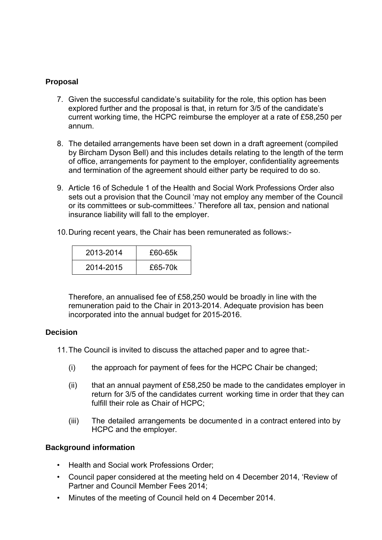#### **Proposal**

- 7. Given the successful candidate's suitability for the role, this option has been explored further and the proposal is that, in return for 3/5 of the candidate's current working time, the HCPC reimburse the employer at a rate of £58,250 per annum.
- 8. The detailed arrangements have been set down in a draft agreement (compiled by Bircham Dyson Bell) and this includes details relating to the length of the term of office, arrangements for payment to the employer, confidentiality agreements and termination of the agreement should either party be required to do so.
- 9. Article 16 of Schedule 1 of the Health and Social Work Professions Order also sets out a provision that the Council 'may not employ any member of the Council or its committees or sub-committees.' Therefore all tax, pension and national insurance liability will fall to the employer.
- 10. During recent years, the Chair has been remunerated as follows:-

| 2013-2014 | £60-65k |
|-----------|---------|
| 2014-2015 | £65-70k |

Therefore, an annualised fee of £58,250 would be broadly in line with the remuneration paid to the Chair in 2013-2014. Adequate provision has been incorporated into the annual budget for 2015-2016.

## **Decision**

- 11. The Council is invited to discuss the attached paper and to agree that:-
	- (i) the approach for payment of fees for the HCPC Chair be changed;
	- (ii) that an annual payment of £58,250 be made to the candidates employer in return for 3/5 of the candidates current working time in order that they can fulfill their role as Chair of HCPC;
	- (iii) The detailed arrangements be documented in a contract entered into by HCPC and the employer.

## **Background information**

- Health and Social work Professions Order;
- Council paper considered at the meeting held on 4 December 2014, 'Review of Partner and Council Member Fees 2014;
- Minutes of the meeting of Council held on 4 December 2014.